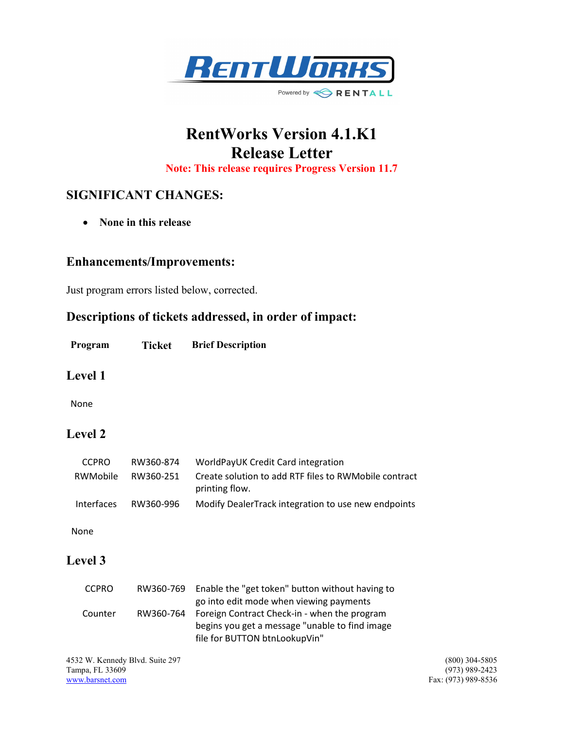

# RentWorks Version 4.1.K1 Release Letter

Note: This release requires Progress Version 11.7

# SIGNIFICANT CHANGES:

• None in this release

#### Enhancements/Improvements:

Just program errors listed below, corrected.

# Descriptions of tickets addressed, in order of impact:

Program Ticket Brief Description

#### Level 1

None

# Level 2

| <b>CCPRO</b>      | RW360-874 | WorldPayUK Credit Card integration                                      |
|-------------------|-----------|-------------------------------------------------------------------------|
| RWMobile          | RW360-251 | Create solution to add RTF files to RWMobile contract<br>printing flow. |
| <b>Interfaces</b> | RW360-996 | Modify DealerTrack integration to use new endpoints                     |

None

#### Level 3

| <b>CCPRO</b> | RW360-769 | Enable the "get token" button without having to |
|--------------|-----------|-------------------------------------------------|
|              |           | go into edit mode when viewing payments         |
| Counter      | RW360-764 | Foreign Contract Check-in - when the program    |
|              |           | begins you get a message "unable to find image  |
|              |           | file for BUTTON btnLookupVin"                   |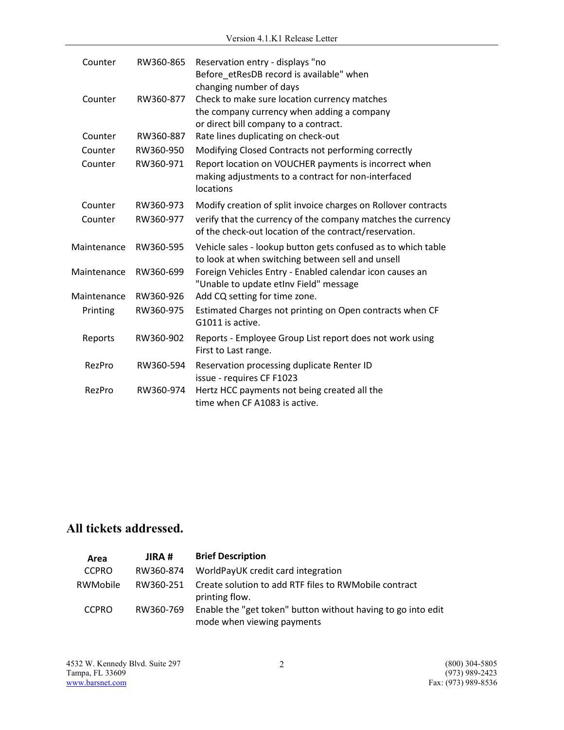| Counter     | RW360-865 | Reservation entry - displays "no<br>Before etResDB record is available" when<br>changing number of days                             |
|-------------|-----------|-------------------------------------------------------------------------------------------------------------------------------------|
| Counter     | RW360-877 | Check to make sure location currency matches<br>the company currency when adding a company<br>or direct bill company to a contract. |
| Counter     | RW360-887 | Rate lines duplicating on check-out                                                                                                 |
| Counter     | RW360-950 | Modifying Closed Contracts not performing correctly                                                                                 |
| Counter     | RW360-971 | Report location on VOUCHER payments is incorrect when<br>making adjustments to a contract for non-interfaced<br>locations           |
| Counter     | RW360-973 | Modify creation of split invoice charges on Rollover contracts                                                                      |
| Counter     | RW360-977 | verify that the currency of the company matches the currency<br>of the check-out location of the contract/reservation.              |
| Maintenance | RW360-595 | Vehicle sales - lookup button gets confused as to which table<br>to look at when switching between sell and unsell                  |
| Maintenance | RW360-699 | Foreign Vehicles Entry - Enabled calendar icon causes an<br>"Unable to update etInv Field" message                                  |
| Maintenance | RW360-926 | Add CQ setting for time zone.                                                                                                       |
| Printing    | RW360-975 | Estimated Charges not printing on Open contracts when CF<br>G1011 is active.                                                        |
| Reports     | RW360-902 | Reports - Employee Group List report does not work using<br>First to Last range.                                                    |
| RezPro      | RW360-594 | Reservation processing duplicate Renter ID<br>issue - requires CF F1023                                                             |
| RezPro      | RW360-974 | Hertz HCC payments not being created all the<br>time when CF A1083 is active.                                                       |

# All tickets addressed.

| Area         | JIRA #    | <b>Brief Description</b>                                                                   |
|--------------|-----------|--------------------------------------------------------------------------------------------|
| <b>CCPRO</b> | RW360-874 | WorldPayUK credit card integration                                                         |
| RWMobile     | RW360-251 | Create solution to add RTF files to RWMobile contract<br>printing flow.                    |
| <b>CCPRO</b> | RW360-769 | Enable the "get token" button without having to go into edit<br>mode when viewing payments |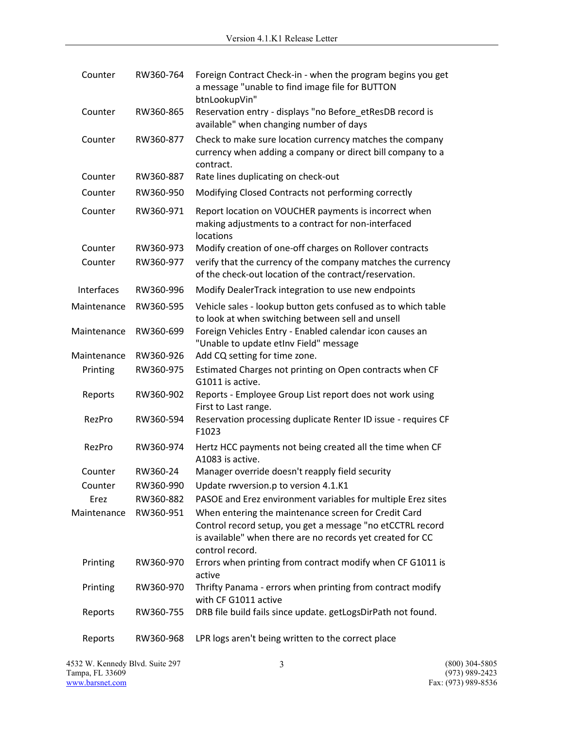| Counter     | RW360-764 | Foreign Contract Check-in - when the program begins you get<br>a message "unable to find image file for BUTTON<br>btnLookupVin"                                                                     |
|-------------|-----------|-----------------------------------------------------------------------------------------------------------------------------------------------------------------------------------------------------|
| Counter     | RW360-865 | Reservation entry - displays "no Before_etResDB record is<br>available" when changing number of days                                                                                                |
| Counter     | RW360-877 | Check to make sure location currency matches the company<br>currency when adding a company or direct bill company to a<br>contract.                                                                 |
| Counter     | RW360-887 | Rate lines duplicating on check-out                                                                                                                                                                 |
| Counter     | RW360-950 | Modifying Closed Contracts not performing correctly                                                                                                                                                 |
| Counter     | RW360-971 | Report location on VOUCHER payments is incorrect when<br>making adjustments to a contract for non-interfaced<br>locations                                                                           |
| Counter     | RW360-973 | Modify creation of one-off charges on Rollover contracts                                                                                                                                            |
| Counter     | RW360-977 | verify that the currency of the company matches the currency<br>of the check-out location of the contract/reservation.                                                                              |
| Interfaces  | RW360-996 | Modify DealerTrack integration to use new endpoints                                                                                                                                                 |
| Maintenance | RW360-595 | Vehicle sales - lookup button gets confused as to which table<br>to look at when switching between sell and unsell                                                                                  |
| Maintenance | RW360-699 | Foreign Vehicles Entry - Enabled calendar icon causes an<br>"Unable to update etInv Field" message                                                                                                  |
| Maintenance | RW360-926 | Add CQ setting for time zone.                                                                                                                                                                       |
| Printing    | RW360-975 | Estimated Charges not printing on Open contracts when CF<br>G1011 is active.                                                                                                                        |
| Reports     | RW360-902 | Reports - Employee Group List report does not work using<br>First to Last range.                                                                                                                    |
| RezPro      | RW360-594 | Reservation processing duplicate Renter ID issue - requires CF<br>F1023                                                                                                                             |
| RezPro      | RW360-974 | Hertz HCC payments not being created all the time when CF<br>A1083 is active.                                                                                                                       |
| Counter     | RW360-24  | Manager override doesn't reapply field security                                                                                                                                                     |
| Counter     | RW360-990 | Update rwversion.p to version 4.1.K1                                                                                                                                                                |
| Erez        | RW360-882 | PASOE and Erez environment variables for multiple Erez sites                                                                                                                                        |
| Maintenance | RW360-951 | When entering the maintenance screen for Credit Card<br>Control record setup, you get a message "no etCCTRL record<br>is available" when there are no records yet created for CC<br>control record. |
| Printing    | RW360-970 | Errors when printing from contract modify when CF G1011 is<br>active                                                                                                                                |
| Printing    | RW360-970 | Thrifty Panama - errors when printing from contract modify<br>with CF G1011 active                                                                                                                  |
| Reports     | RW360-755 | DRB file build fails since update. getLogsDirPath not found.                                                                                                                                        |
| Reports     | RW360-968 | LPR logs aren't being written to the correct place                                                                                                                                                  |